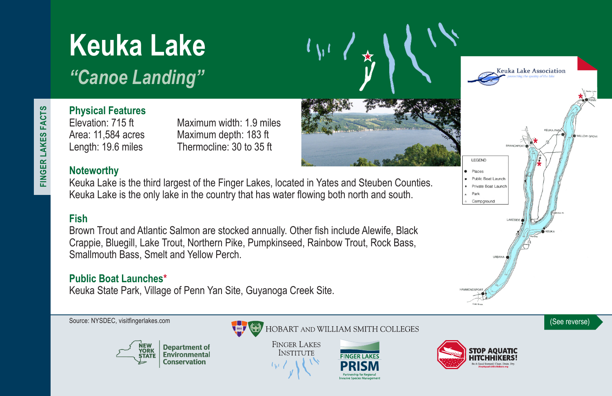# **Keuka Lake**

*"Canoe Landing"*

FINGER LAKES FACTS **FINGER LAKES FACTS**

# **Physical Features**

Area: 11,584 acres Maximum depth: 183 ft

Elevation: 715 ft Maximum width: 1.9 miles Length: 19.6 miles Thermocline: 30 to 35 ft

### **Noteworthy**

Keuka Lake is the third largest of the Finger Lakes, located in Yates and Steuben Counties. Keuka Lake is the only lake in the country that has water flowing both north and south.

### **Fish**

Brown Trout and Atlantic Salmon are stocked annually. Other fish include Alewife, Black Crappie, Bluegill, Lake Trout, Northern Pike, Pumpkinseed, Rainbow Trout, Rock Bass, Smallmouth Bass, Smelt and Yellow Perch.

#### **Public Boat Launches\***

Keuka State Park, Village of Penn Yan Site, Guyanoga Creek Site.



Keuka Lake Association

LEGEND Places Public Boat Launch · Private Boat Launch Park Campground